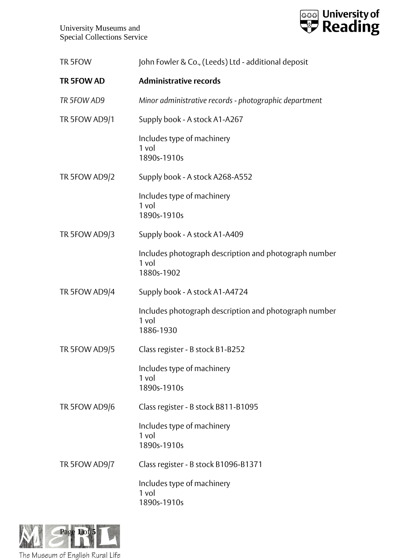

| TR 5FOW       | John Fowler & Co., (Leeds) Ltd - additional deposit                          |
|---------------|------------------------------------------------------------------------------|
| TR 5FOW AD    | <b>Administrative records</b>                                                |
| TR 5FOW AD9   | Minor administrative records - photographic department                       |
| TR 5FOW AD9/1 | Supply book - A stock A1-A267                                                |
|               | Includes type of machinery<br>1 vol<br>1890s-1910s                           |
| TR 5FOW AD9/2 | Supply book - A stock A268-A552                                              |
|               | Includes type of machinery<br>1 vol<br>1890s-1910s                           |
| TR 5FOW AD9/3 | Supply book - A stock A1-A409                                                |
|               | Includes photograph description and photograph number<br>1 vol<br>1880s-1902 |
| TR 5FOW AD9/4 | Supply book - A stock A1-A4724                                               |
|               | Includes photograph description and photograph number<br>1 vol<br>1886-1930  |
| TR 5FOW AD9/5 | Class register - B stock B1-B252                                             |
|               | Includes type of machinery<br>1 vol<br>1890s-1910s                           |
| TR 5FOW AD9/6 | Class register - B stock B811-B1095                                          |
|               | Includes type of machinery<br>1 vol<br>1890s-1910s                           |
| TR 5FOW AD9/7 | Class register - B stock B1096-B1371                                         |
|               | Includes type of machinery<br>1 vol<br>1890s-1910s                           |

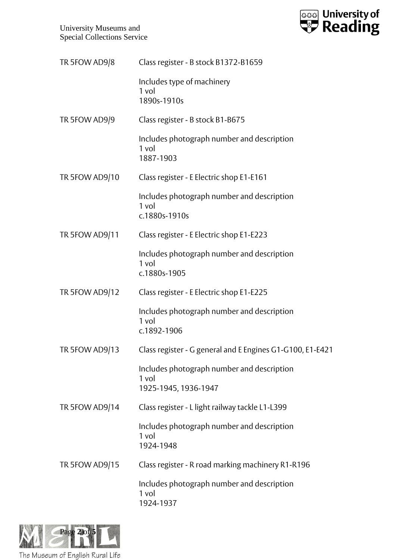University Museums and Special Collections Service



| TR 5FOW AD9/8  | Class register - B stock B1372-B1659                                        |
|----------------|-----------------------------------------------------------------------------|
|                | Includes type of machinery<br>1 vol<br>1890s-1910s                          |
| TR 5FOW AD9/9  | Class register - B stock B1-B675                                            |
|                | Includes photograph number and description<br>1 vol<br>1887-1903            |
| TR 5FOW AD9/10 | Class register - E Electric shop E1-E161                                    |
|                | Includes photograph number and description<br>1 vol<br>c.1880s-1910s        |
| TR 5FOW AD9/11 | Class register - E Electric shop E1-E223                                    |
|                | Includes photograph number and description<br>1 vol<br>c.1880s-1905         |
| TR 5FOW AD9/12 | Class register - E Electric shop E1-E225                                    |
|                | Includes photograph number and description<br>1 vol<br>c.1892-1906          |
| TR 5FOW AD9/13 | Class register - G general and E Engines G1-G100, E1-E421                   |
|                | Includes photograph number and description<br>1 vol<br>1925-1945, 1936-1947 |
| TR 5FOW AD9/14 | Class register - L light railway tackle L1-L399                             |
|                | Includes photograph number and description<br>1 vol<br>1924-1948            |
| TR 5FOW AD9/15 | Class register - R road marking machinery R1-R196                           |
|                | Includes photograph number and description<br>1 vol<br>1924-1937            |

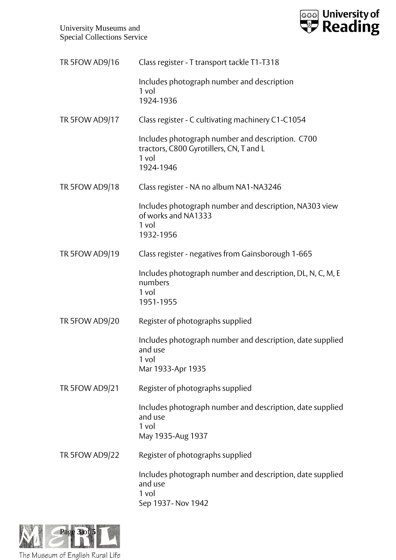University Museums and Special Collections Service



| TR 5FOW AD9/16 | Class register - T transport tackle T1-T318                                                                         |
|----------------|---------------------------------------------------------------------------------------------------------------------|
|                | Includes photograph number and description<br>1 vol<br>1924-1936                                                    |
| TR 5FOW AD9/17 | Class register - C cultivating machinery C1-C1054                                                                   |
|                | Includes photograph number and description. C700<br>tractors, C800 Gyrotillers, CN, T and L<br>$1$ vol<br>1924-1946 |
| TR 5FOW AD9/18 | Class register - NA no album NA1-NA3246                                                                             |
|                | Includes photograph number and description, NA303 view<br>of works and NA1333<br>1 vol<br>1932-1956                 |
| TR 5FOW AD9/19 | Class register - negatives from Gainsborough 1-665                                                                  |
|                | Includes photograph number and description, DL, N, C, M, E<br>numbers<br>1 vol<br>1951-1955                         |
| TR 5FOW AD9/20 | Register of photographs supplied                                                                                    |
|                | Includes photograph number and description, date supplied<br>and use<br>1 vol<br>Mar 1933-Apr 1935                  |
| TR 5FOW AD9/21 | Register of photographs supplied                                                                                    |
|                | Includes photograph number and description, date supplied<br>and use<br>1 vol<br>May 1935-Aug 1937                  |
| TR 5FOW AD9/22 | Register of photographs supplied                                                                                    |
|                | Includes photograph number and description, date supplied<br>and use<br>1 vol<br>Sep 1937- Nov 1942                 |

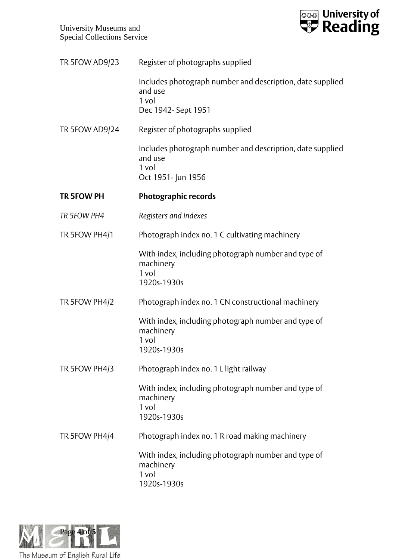

| TR 5FOW AD9/23 | Register of photographs supplied                                                                    |
|----------------|-----------------------------------------------------------------------------------------------------|
|                | Includes photograph number and description, date supplied<br>and use<br>1 vol                       |
|                | Dec 1942- Sept 1951                                                                                 |
| TR 5FOW AD9/24 | Register of photographs supplied                                                                    |
|                | Includes photograph number and description, date supplied<br>and use<br>1 vol<br>Oct 1951- Jun 1956 |
| TR 5FOW PH     | <b>Photographic records</b>                                                                         |
| TR 5FOW PH4    | Registers and indexes                                                                               |
| TR 5FOW PH4/1  | Photograph index no. 1 C cultivating machinery                                                      |
|                | With index, including photograph number and type of<br>machinery<br>1 vol<br>1920s-1930s            |
| TR 5FOW PH4/2  | Photograph index no. 1 CN constructional machinery                                                  |
|                | With index, including photograph number and type of<br>machinery<br>1 vol<br>1920s-1930s            |
| TR 5FOW PH4/3  | Photograph index no. 1 L light railway                                                              |
|                | With index, including photograph number and type of<br>machinery<br>1 vol<br>1920s-1930s            |
| TR 5FOW PH4/4  | Photograph index no. 1 R road making machinery                                                      |
|                | With index, including photograph number and type of<br>machinery<br>1 vol<br>1920s-1930s            |